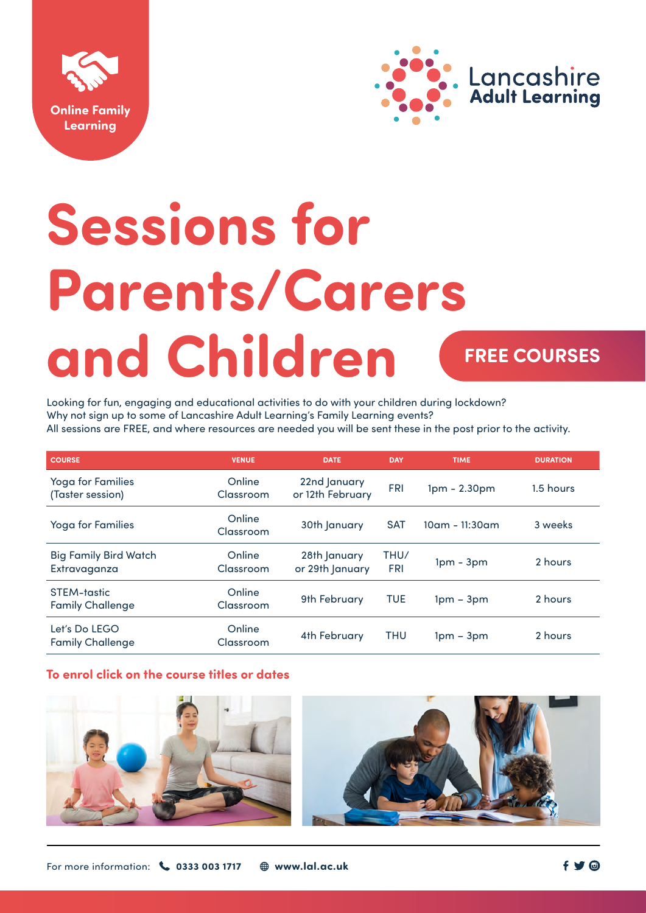



# **Sessions for Parents/Carers and Children**

## **FREE COURSES**

Looking for fun, engaging and educational activities to do with your children during lockdown? Why not sign up to some of Lancashire Adult Learning's Family Learning events? All sessions are FREE, and where resources are needed you will be sent these in the post prior to the activity.

| <b>COURSE</b>                                | <b>VENUE</b>        | <b>DATE</b>                      | <b>DAY</b>         | <b>TIME</b>       | <b>DURATION</b> |
|----------------------------------------------|---------------------|----------------------------------|--------------------|-------------------|-----------------|
| Yoga for Families<br>(Taster session)        | Online<br>Classroom | 22nd January<br>or 12th February | <b>FRI</b>         | $1pm - 2.30pm$    | 1.5 hours       |
| <b>Yoga for Families</b>                     | Online<br>Classroom | 30th January                     | <b>SAT</b>         | $10$ am - 11:30am | 3 weeks         |
| <b>Big Family Bird Watch</b><br>Extravaganza | Online<br>Classroom | 28th January<br>or 29th January  | THU/<br><b>FRI</b> | $1pm - 3pm$       | 2 hours         |
| STEM-tastic<br><b>Family Challenge</b>       | Online<br>Classroom | 9th February                     | <b>TUE</b>         | $1pm - 3pm$       | 2 hours         |
| Let's Do LEGO<br><b>Family Challenge</b>     | Online<br>Classroom | 4th February                     | <b>THU</b>         | $1pm - 3pm$       | 2 hours         |

### **To enrol click on the course titles or dates**



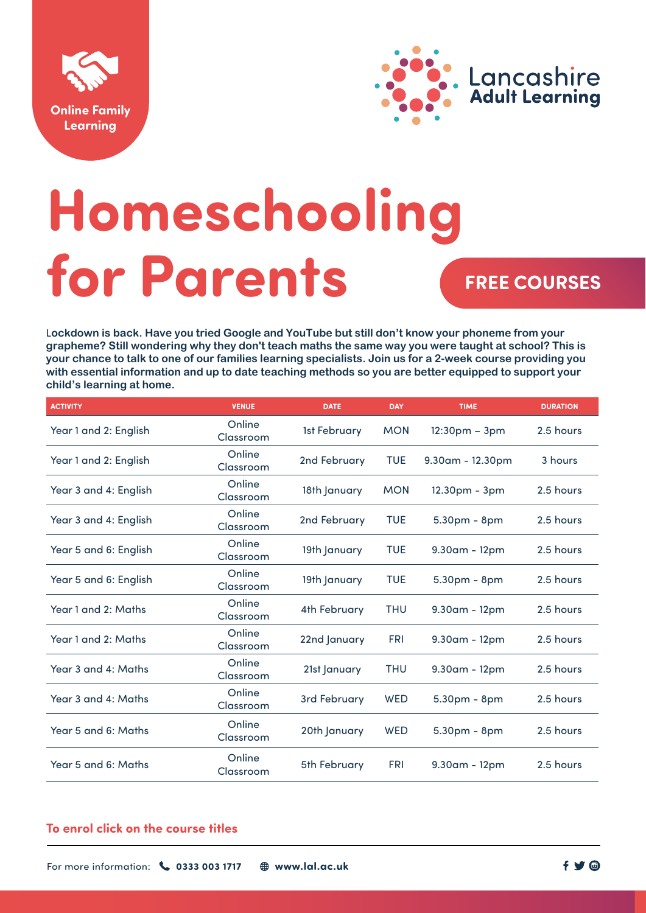



## **Homeschooling for Parents** FREE COURSES

L**ockdown is back. Have you tried Google and YouTube but still don't know your phoneme from your grapheme? Still wondering why they don't teach maths the same way you were taught at school? This is your chance to talk to one of our families learning specialists. Join us for a 2-week course providing you with essential information and up to date teaching methods so you are better equipped to support your child's learning at home.** 

| <b>VENUE</b>        | <b>DATE</b>  | <b>DAY</b> | <b>TIME</b>         | <b>DURATION</b> |
|---------------------|--------------|------------|---------------------|-----------------|
| Online<br>Classroom | 1st February | <b>MON</b> | $12:30pm - 3pm$     | 2.5 hours       |
| Online<br>Classroom | 2nd February | <b>TUE</b> | $9.30$ am - 12.30pm | 3 hours         |
| Online<br>Classroom | 18th January | <b>MON</b> | 12.30pm - 3pm       | 2.5 hours       |
| Online<br>Classroom | 2nd February | <b>TUE</b> | 5.30pm - 8pm        | 2.5 hours       |
| Online<br>Classroom | 19th January | <b>TUE</b> | $9.30$ am - 12pm    | 2.5 hours       |
| Online<br>Classroom | 19th January | <b>TUE</b> | $5.30pm - 8pm$      | 2.5 hours       |
| Online<br>Classroom | 4th February | <b>THU</b> | $9.30$ am - 12pm    | 2.5 hours       |
| Online<br>Classroom | 22nd January | <b>FRI</b> | $9.30$ am - 12pm    | 2.5 hours       |
| Online<br>Classroom | 21st January | <b>THU</b> | $9.30$ am - 12pm    | 2.5 hours       |
| Online<br>Classroom | 3rd February | WED        | $5.30pm - 8pm$      | 2.5 hours       |
| Online<br>Classroom | 20th January | <b>WED</b> | 5.30pm - 8pm        | 2.5 hours       |
| Online<br>Classroom | 5th February | <b>FRI</b> | $9.30$ am - 12pm    | 2.5 hours       |
|                     |              |            |                     |                 |

#### **To enrol click on the course titles**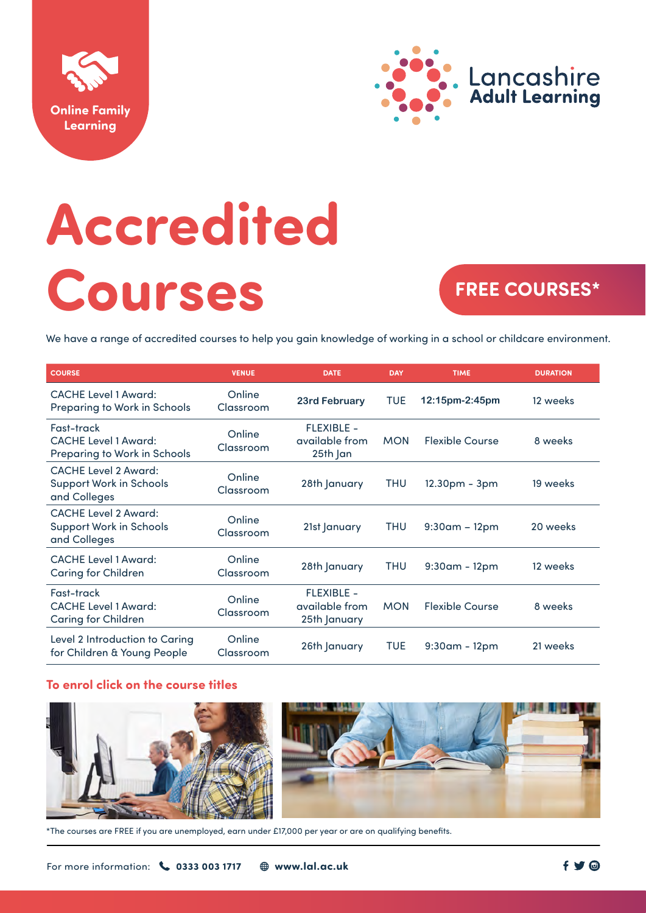



# **Accredited Courses**

## **FREE COURSES\***

We have a range of accredited courses to help you gain knowledge of working in a school or childcare environment.

| <b>COURSE</b>                                                                 | <b>VENUE</b>        | <b>DATE</b>                                         | <b>DAY</b> | <b>TIME</b>            | <b>DURATION</b> |
|-------------------------------------------------------------------------------|---------------------|-----------------------------------------------------|------------|------------------------|-----------------|
| <b>CACHE Level 1 Award:</b><br>Preparing to Work in Schools                   | Online<br>Classroom | 23rd February                                       | <b>TUE</b> | 12:15pm-2:45pm         | 12 weeks        |
| Fast-track<br><b>CACHE Level 1 Award:</b><br>Preparing to Work in Schools     | Online<br>Classroom | <b>FLEXIBLE -</b><br>available from<br>25th Jan     | <b>MON</b> | <b>Flexible Course</b> | 8 weeks         |
| <b>CACHE Level 2 Award:</b><br><b>Support Work in Schools</b><br>and Colleges | Online<br>Classroom | 28th January                                        | <b>THU</b> | 12.30pm - 3pm          | 19 weeks        |
| <b>CACHE Level 2 Award:</b><br><b>Support Work in Schools</b><br>and Colleges | Online<br>Classroom | 21st January                                        | THU        | $9:30$ am – 12pm       | 20 weeks        |
| <b>CACHE Level 1 Award:</b><br><b>Caring for Children</b>                     | Online<br>Classroom | 28th January                                        | THU        | $9:30$ am - 12pm       | 12 weeks        |
| Fast-track<br><b>CACHE Level 1 Award:</b><br>Caring for Children              | Online<br>Classroom | <b>FLEXIBLE -</b><br>available from<br>25th January | <b>MON</b> | <b>Flexible Course</b> | 8 weeks         |
| Level 2 Introduction to Caring<br>for Children & Young People                 | Online<br>Classroom | 26th January                                        | <b>TUE</b> | $9:30$ am - 12pm       | 21 weeks        |

#### **To enrol click on the course titles**



\*The courses are FREE if you are unemployed, earn under £17,000 per year or are on qualifying benefits.